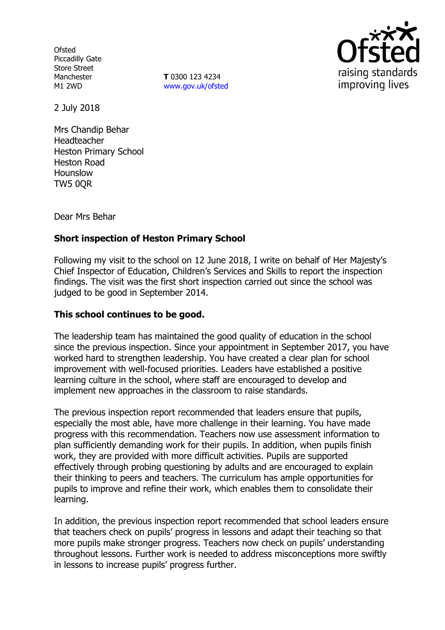**Ofsted** Piccadilly Gate Store Street Manchester M1 2WD

**T** 0300 123 4234 www.gov.uk/ofsted



2 July 2018

Mrs Chandip Behar Headteacher Heston Primary School Heston Road Hounslow TW5 0QR

Dear Mrs Behar

# **Short inspection of Heston Primary School**

Following my visit to the school on 12 June 2018, I write on behalf of Her Majesty's Chief Inspector of Education, Children's Services and Skills to report the inspection findings. The visit was the first short inspection carried out since the school was judged to be good in September 2014.

## **This school continues to be good.**

The leadership team has maintained the good quality of education in the school since the previous inspection. Since your appointment in September 2017, you have worked hard to strengthen leadership. You have created a clear plan for school improvement with well-focused priorities. Leaders have established a positive learning culture in the school, where staff are encouraged to develop and implement new approaches in the classroom to raise standards.

The previous inspection report recommended that leaders ensure that pupils, especially the most able, have more challenge in their learning. You have made progress with this recommendation. Teachers now use assessment information to plan sufficiently demanding work for their pupils. In addition, when pupils finish work, they are provided with more difficult activities. Pupils are supported effectively through probing questioning by adults and are encouraged to explain their thinking to peers and teachers. The curriculum has ample opportunities for pupils to improve and refine their work, which enables them to consolidate their learning.

In addition, the previous inspection report recommended that school leaders ensure that teachers check on pupils' progress in lessons and adapt their teaching so that more pupils make stronger progress. Teachers now check on pupils' understanding throughout lessons. Further work is needed to address misconceptions more swiftly in lessons to increase pupils' progress further.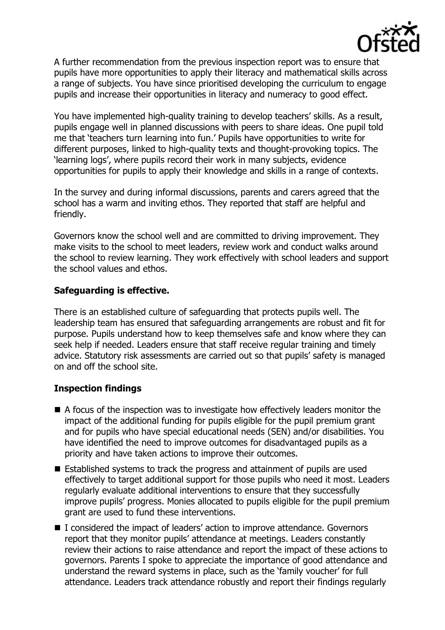

A further recommendation from the previous inspection report was to ensure that pupils have more opportunities to apply their literacy and mathematical skills across a range of subjects. You have since prioritised developing the curriculum to engage pupils and increase their opportunities in literacy and numeracy to good effect.

You have implemented high-quality training to develop teachers' skills. As a result, pupils engage well in planned discussions with peers to share ideas. One pupil told me that 'teachers turn learning into fun.' Pupils have opportunities to write for different purposes, linked to high-quality texts and thought-provoking topics. The 'learning logs', where pupils record their work in many subjects, evidence opportunities for pupils to apply their knowledge and skills in a range of contexts.

In the survey and during informal discussions, parents and carers agreed that the school has a warm and inviting ethos. They reported that staff are helpful and friendly.

Governors know the school well and are committed to driving improvement. They make visits to the school to meet leaders, review work and conduct walks around the school to review learning. They work effectively with school leaders and support the school values and ethos.

## **Safeguarding is effective.**

There is an established culture of safeguarding that protects pupils well. The leadership team has ensured that safeguarding arrangements are robust and fit for purpose. Pupils understand how to keep themselves safe and know where they can seek help if needed. Leaders ensure that staff receive regular training and timely advice. Statutory risk assessments are carried out so that pupils' safety is managed on and off the school site.

## **Inspection findings**

- A focus of the inspection was to investigate how effectively leaders monitor the impact of the additional funding for pupils eligible for the pupil premium grant and for pupils who have special educational needs (SEN) and/or disabilities. You have identified the need to improve outcomes for disadvantaged pupils as a priority and have taken actions to improve their outcomes.
- Established systems to track the progress and attainment of pupils are used effectively to target additional support for those pupils who need it most. Leaders regularly evaluate additional interventions to ensure that they successfully improve pupils' progress. Monies allocated to pupils eligible for the pupil premium grant are used to fund these interventions.
- I considered the impact of leaders' action to improve attendance. Governors report that they monitor pupils' attendance at meetings. Leaders constantly review their actions to raise attendance and report the impact of these actions to governors. Parents I spoke to appreciate the importance of good attendance and understand the reward systems in place, such as the 'family voucher' for full attendance. Leaders track attendance robustly and report their findings regularly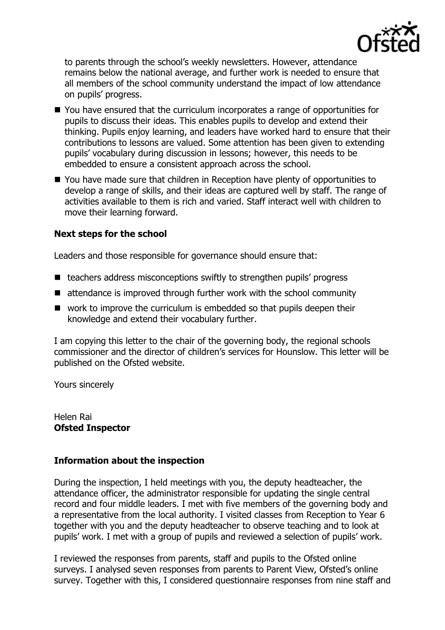

to parents through the school's weekly newsletters. However, attendance remains below the national average, and further work is needed to ensure that all members of the school community understand the impact of low attendance on pupils' progress.

- You have ensured that the curriculum incorporates a range of opportunities for pupils to discuss their ideas. This enables pupils to develop and extend their thinking. Pupils enjoy learning, and leaders have worked hard to ensure that their contributions to lessons are valued. Some attention has been given to extending pupils' vocabulary during discussion in lessons; however, this needs to be embedded to ensure a consistent approach across the school.
- You have made sure that children in Reception have plenty of opportunities to develop a range of skills, and their ideas are captured well by staff. The range of activities available to them is rich and varied. Staff interact well with children to move their learning forward.

## **Next steps for the school**

Leaders and those responsible for governance should ensure that:

- $\blacksquare$  teachers address misconceptions swiftly to strengthen pupils' progress
- attendance is improved through further work with the school community
- work to improve the curriculum is embedded so that pupils deepen their knowledge and extend their vocabulary further.

I am copying this letter to the chair of the governing body, the regional schools commissioner and the director of children's services for Hounslow. This letter will be published on the Ofsted website.

Yours sincerely

Helen Rai **Ofsted Inspector**

## **Information about the inspection**

During the inspection, I held meetings with you, the deputy headteacher, the attendance officer, the administrator responsible for updating the single central record and four middle leaders. I met with five members of the governing body and a representative from the local authority. I visited classes from Reception to Year 6 together with you and the deputy headteacher to observe teaching and to look at pupils' work. I met with a group of pupils and reviewed a selection of pupils' work.

I reviewed the responses from parents, staff and pupils to the Ofsted online surveys. I analysed seven responses from parents to Parent View, Ofsted's online survey. Together with this, I considered questionnaire responses from nine staff and